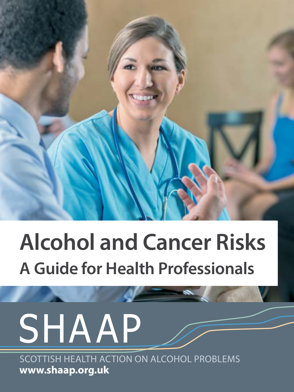

# **Alcohol and Cancer Risks A Guide for Health Professionals**

**Communistics** 

# SHAAP

SCOTTISH HEALTH ACTION ON ALCOHOL PROBLEMS **www.shaap.org.uk**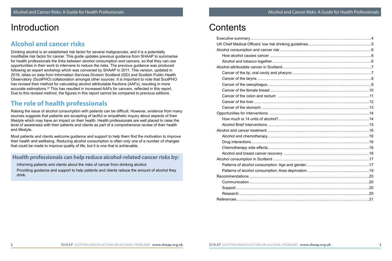## Introduction

#### **Alcohol and cancer risks**

Drinking alcohol is an established risk factor for several malignancies, and it is a potentially modifiable risk factor for cancer. This guide updates previous guidance from SHAAP to summarise for health professionals the links between alcohol consumption and cancers, so that they can use opportunities in their work to intervene to reduce the risks. The previous guidance was produced following an expert workshop which was convened by SHAAP in 2011. This version, updated in 2019, relies on data from Information Services Division Scotland (ISD) and Scottish Public Health Observatory (ScotPHO) collaboration amongst other sources. It is important to note that ScotPHO has revised their method for calculating alcohol attributable fractions (AAFs), resulting in more accurate estimations.22 This has resulted in increased AAFs for cancers, reflected in this report. Due to this revised method, the figures in this report cannot be compared to previous editions.

## **The role of health professionals**

Raising the issue of alcohol consumption with patients can be difficult. However, evidence from many sources suggests that patients are accepting of tactful or empathetic inquiry about aspects of their lifestyle which may have an impact on their health. Health professionals are well placed to raise the level of awareness with their patients and clients as part of a comprehensive review of their health and lifestyle.

Most patients and clients welcome guidance and support to help them find the motivation to improve their health and wellbeing. Reducing alcohol consumption is often only one of a number of changes that could be made to improve quality of life, but it is one that is achievable.

#### **Health professionals can help reduce alcohol-related cancer risks by:**

- Informing patients and clients about the risks of cancer from drinking alcohol.
- Providing guidance and support to help patients and clients reduce the amount of alcohol they drink.

# **Contents**

| References. |  |
|-------------|--|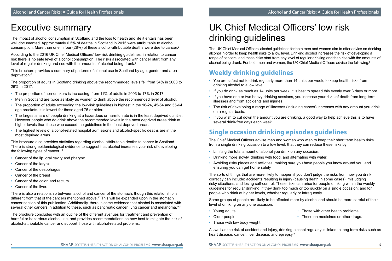# Executive summary

The impact of alcohol consumption in Scotland and the loss to health and life it entails has been well documented. Approximately 6.5% of deaths in Scotland in 2015 were attributable to alcohol consumption. More than one in four (28%) of these alcohol-attributable deaths were due to cancer. 2

According to the 2016 UK Chief Medical Officers' low risk drinking guidelines, in relation to cancer risk there is no safe level of alcohol consumption. The risks associated with cancer start from any level of regular drinking and rise with the amounts of alcohol being drunk.<sup>5</sup>

This brochure provides a summary of patterns of alcohol use in Scotland by age, gender and area deprivation:<sup>8</sup>

The proportion of adults in Scotland drinking above the recommended levels fell from 34% in 2003 to 26% in 2017.

- The proportion of non-drinkers is increasing, from 11% of adults in 2003 to 17% in 2017.
- Men in Scotland are twice as likely as women to drink above the recommended level of alcohol.
- The proportion of adults exceeding the low-risk guidelines is highest in the 16-24, 45-54 and 55-64 age brackets. It is lowest for those aged 75 or older.
- The largest share of people drinking at a hazardous or harmful rate is in the least deprived quintile. However people who do drink above the recommended levels in the most deprived areas drink at higher levels than those who exceed the guidelines in the least deprived areas.
- The highest levels of alcohol-related hospital admissions and alcohol-specific deaths are in the most deprived areas.

This brochure also provides statistics regarding alcohol-attributable deaths to cancer in Scotland. There is strong epidemiological evidence to suggest that alcohol increases your risk of developing the following types of cancer:16

- Cancer of the lip, oral cavity and pharynx
- Cancer of the larynx
- Cancer of the oesophagus
- Cancer of the breast
- Cancer of the colon and rectum
- Cancer of the liver.

There is also a relationship between alcohol and cancer of the stomach, though this relationship is different from that of the cancers mentioned above.16 This will be expanded upon in the stomach cancer section of this publication. Additionally, there is some evidence that alcohol is associated with several other cancers in addition to these, such as pancreatic cancer, lung cancer and melanoma.<sup>16,3</sup>

The brochure concludes with an outline of the different avenues for treatment and prevention of harmful or hazardous alcohol use, and provides recommendations on how best to mitigate the risk of alcohol-attributable cancer and support those with alcohol-related problems.

# UK Chief Medical Officers' low risk drinking guidelines

The UK Chief Medical Officers' alcohol guidelines for both men and women aim to offer advice on drinking alcohol in order to keep health risks to a low level. Drinking alcohol increases the risk of developing a range of cancers, and these risks start from any level of regular drinking and then rise with the amounts of alcohol being drunk. For both men and women, the UK Chief Medical Officers advise the following:<sup>5</sup>

## **Weekly drinking guidelines**

- You are safest not to drink regularly more than 14 units per week, to keep health risks from drinking alcohol to a low level.
- If you do drink as much as 14 units per week, it is best to spread this evenly over 3 days or more.
- If you have one or two heavy drinking sessions, you increase your risks of death from long-term illnesses and from accidents and injuries.
- The risk of developing a range of illnesses (including cancer) increases with any amount you drink on a regular basis.
- If you wish to cut down the amount you are drinking, a good way to help achieve this is to have several drink-free days each week.

#### **Single occasion drinking episodes guidelines**

The Chief Medical Officers advise men and women who wish to keep their short term health risks from a single drinking occasion to a low level, that they can reduce these risks by:

- Limiting the total amount of alcohol you drink on any occasion.
- Drinking more slowly, drinking with food, and alternating with water.
- Avoiding risky places and activities, making sure you have people you know around you, and ensuring you can get home safely.

The sorts of things that are more likely to happen if you don't judge the risks from how you drink correctly can include: accidents resulting in injury (causing death in some cases), misjudging risky situations, and losing self-control. These risks can arise for people drinking within the weekly guidelines for regular drinking, if they drink too much or too quickly on a single occasion; and for people who drink at higher levels, whether regularly or infrequently.

Some groups of people are likely to be affected more by alcohol and should be more careful of their level of drinking on any one occasion:

• Young adults

• Those with other health problems

- Older people
- Those with low body weight

• Those on medicines or other drugs.

As well as the risk of accident and injury, drinking alcohol regularly is linked to long term risks such as heart disease, cancer, liver disease, and epilepsy.<sup>5</sup>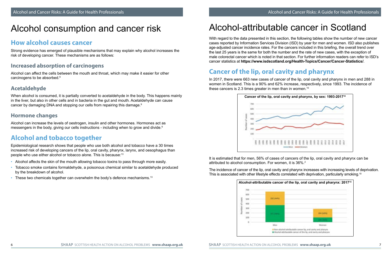## Alcohol consumption and cancer risk

#### **How alcohol causes cancer**

Strong evidence has emerged of plausible mechanisms that may explain why alcohol increases the risk of developing cancer. These mechanisms are as follows:

#### **Increased absorption of carcinogens**

Alcohol can affect the cells between the mouth and throat, which may make it easier for other carcinogens to be absorbed.9

#### **Acetaldehyde**

When alcohol is consumed, it is partially converted to acetaldehyde in the body. This happens mainly in the liver, but also in other cells and in bacteria in the gut and mouth. Acetaldehyde can cause cancer by damaging DNA and stopping our cells from repairing this damage.<sup>9</sup>

#### **Hormone changes**

Alcohol can increase the levels of oestrogen, insulin and other hormones. Hormones act as messengers in the body, giving our cells instructions - including when to grow and divide.<sup>9</sup>

## **Alcohol and tobacco together**

Epidemiological research shows that people who use both alcohol and tobacco have a 30 times increased risk of developing cancers of the lip, oral cavity, pharynx, larynx, and oesophagus than people who use either alcohol or tobacco alone. This is because:13

- Alcohol affects the skin of the mouth allowing tobacco toxins to pass through more easily.
- Tobacco smoke contains formaldehyde, a poisonous chemical similar to acetaldehyde produced by the breakdown of alcohol.
- These two chemicals together can overwhelm the body's defence mechanisms.<sup>13</sup>

# Alcohol-attributable cancer in Scotland

With regard to the data presented in this section, the following tables show the number of new cancer cases reported by Information Services Division (ISD) by year for men and women. ISD also publishes age-adjusted cancer incidence rates. For the cancers included in this briefing, the overall trend over the last 25 years is the same for both the number and the rate of new cases, with the exception of male colorectal cancer which is noted in that section. For further information readers can refer to ISD's cancer statistics at **https://www.isdscotland.org/Health-Topics/Cancer/Cancer-Statistics/**.

## **Cancer of the lip, oral cavity and pharynx**

In 2017, there were 663 new cases of cancer of the lip, oral cavity and pharynx in men and 288 in women in Scotland. This is a 90% and 62% increase, respectively, since 1993. The incidence of these cancers is 2.3 times greater in men than in women.<sup>10</sup>



It is estimated that for men, 56% of cases of cancers of the lip, oral cavity and pharynx can be attributed to alcohol consumption. For women, it is 36%.2

The incidence of cancer of the lip, oral cavity and pharynx increases with increasing levels of deprivation. This is associated with other lifestyle effects correlated with deprivation, particularly smoking.<sup>10</sup>

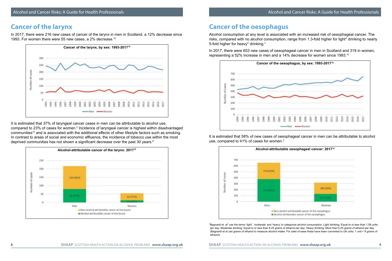#### **Cancer of the larynx**

In 2017, there were 216 new cases of cancer of the larynx in men in Scotland, a 12% decrease since 1993. For women there were 55 new cases, a 2% decrease.10



It is estimated that 37% of laryngeal cancer cases in men can be attributable to alcohol use, compared to 23% of cases for women. $^2$  Incidence of laryngeal cancer is highest within disadvantaged communities<sup>10</sup> and is associated with the additional effects of other lifestyle factors such as smoking. In contrast to areas of social and economic affluence, the incidence of tobacco use within the most deprived communities has not shown a significant decrease over the past 30 years.<sup>8</sup>



## **Cancer of the oesophagus**

Alcohol consumption at any level is associated with an increased risk of oesophageal cancer. The risks, compared with no alcohol consumption, range from 1.3-fold higher for light\* drinking to nearly 5-fold higher for heavy\* drinking.<sup>3</sup>

In 2017, there were 653 new cases of oesophageal cancer in men in Scotland and 319 in women, representing a 52% increase in men and a 14% decrease for women since 1993.10



It is estimated that 58% of new cases of oesophageal cancer in men can be attributable to alcohol use, compared to 41% of cases for women.<sup>2</sup>



\*Bagnardi et. al<sup>s</sup> use the terms 'light', 'moderate' and 'heavy' to categorize alcohol consumption. Light drinking: Equal to or less than 1.56 units per day; Moderate drinking: Equal to or less than 6.25 grams of ethanol per day; Heavy drinking: More than 6.25 grams of ethanol per day. (Bagnardi et al use grams of ethanol to measure alcohol intake: For sake of ease these have been converted to UK units. 1 unit = 8 grams of ethanol).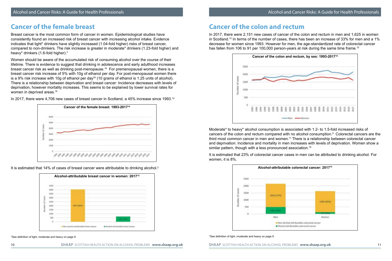#### **Cancer of the female breast**

Breast cancer is the most common form of cancer in women. Epidemiological studies have consistently found an increased risk of breast cancer with increasing alcohol intake. Evidence indicates that light\* drinkers have slightly increased (1.04-fold higher) risks of breast cancer, compared to non-drinkers. The risk increase is greater in moderate\* drinkers (1.23-fold higher) and heavy\* drinkers (1.6-fold higher).3

Women should be aware of the accumulated risk of consuming alcohol over the course of their lifetime. There is evidence to suggest that drinking in adolescence and early adulthood increases breast cancer risk as well as drinking post-menopause.16 For premenopausal women, there is a breast cancer risk increase of 5% with 10g of ethanol per day. For post-menopausal women there is a 9% risk increase with 10g of ethanol per day<sup>20</sup> (10 grams of ethanol is 1.25 units of alcohol). There is a relationship between deprivation and breast cancer: Incidence decreases with levels of deprivation, however mortality increases. This seems to be explained by lower survival rates for women in deprived areas.<sup>19</sup>

In 2017, there were 4,706 new cases of breast cancer in Scotland, a 45% increase since 1993.<sup>10</sup>



It is estimated that 14% of cases of breast cancer were attributable to drinking alcohol.<sup>2</sup>



\*See definition of light, moderate and heavy on page 9.

10 SHAAP SCOTTISH HEALTH ACTION ON ALCOHOL PROBLEMS **www.shaap.org.uk** SHAAP SCOTTISH HEALTH ACTION ON ALCOHOL PROBLEMS www.shaap.org.uk 11

#### **Cancer of the colon and rectum**

In 2017, there were 2,151 new cases of cancer of the colon and rectum in men and 1,625 in women in Scotland.<sup>10</sup> In terms of the number of cases, there has been an increase of 33% for men and a 1% decrease for women since 1993. However for men, the age-standardized rate of colorectal cancer has fallen from 106 to 91 per 100,000 person-years at risk during the same time frame.<sup>10</sup>



Moderate\* to heavy\* alcohol consumption is associated with 1.2- to 1.5-fold increased risks of cancers of the colon and rectum compared with no alcohol consumption.<sup>3</sup> Colorectal cancers are the third most common cancer in men and women.11 There is a relationship between colorectal cancer and deprivation: Incidence and mortality in men increases with levels of deprivation. Women show a similar pattern, though with a less pronounced association.<sup>18</sup>

It is estimated that 23% of colorectal cancer cases in men can be attributed to drinking alcohol. For women, it is 8%.



#### \*See definition of light, moderate and heavy on page 9.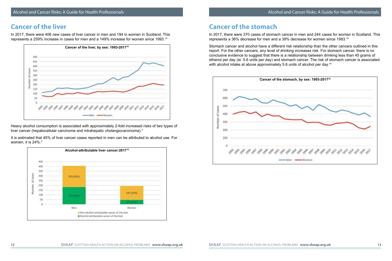#### **Cancer of the liver**

In 2017, there were 406 new cases of liver cancer in men and 194 in women in Scotland. This represents a 259% increase in cases for men and a 149% increase for women since 1993.10



Heavy alcohol consumption is associated with approximately 2-fold increased risks of two types of liver cancer (hepatocellular carcinoma and intrahepatic cholangiocarcinoma).<sup>3</sup>

It is estimated that 45% of liver cancer cases reported in men can be attributed to alcohol use. For women, it is 24%.<sup>2</sup>



## **Cancer of the stomach**

In 2017, there were 370 cases of stomach cancer in men and 244 cases for women in Scotland. This represents a 36% decrease for men and a 39% decrease for women since 1993.10

Stomach cancer and alcohol have a different risk relationship than the other cancers outlined in this report. For the other cancers, any level of drinking increases risk. For stomach cancer, there is no conclusive evidence to suggest that there is a relationship between drinking less than 45 grams of ethanol per day (ie: 5.6 units per day) and stomach cancer. The risk of stomach cancer is associated with alcohol intake at above approximately 5.6 units of alcohol per day. 16

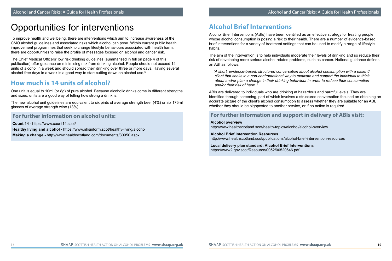# Opportunities for interventions

To improve health and wellbeing, there are interventions which aim to increase awareness of the CMO alcohol guidelines and associated risks which alcohol can pose. Within current public health improvement programmes that seek to change lifestyle behaviours associated with health harm, there are opportunities to raise the profile of messages focused on alcohol and cancer risk.

The Chief Medical Officers' low risk drinking guidelines (summarised in full on page 4 of this publication) offer guidance on minimising risk from drinking alcohol. People should not exceed 14 units of alcohol in a week and should spread their drinking over three or more days. Having several alcohol-free days in a week is a good way to start cutting down on alcohol use.<sup>5</sup>

## **How much is 14 units of alcohol?**

One unit is equal to 10ml (or 8g) of pure alcohol. Because alcoholic drinks come in different strengths and sizes, units are a good way of telling how strong a drink is.

The new alcohol unit guidelines are equivalent to six pints of average strength beer (4%) or six 175ml glasses of average strength wine (13%).

#### **For further information on alcohol units:**

**Count 14 -** https://www.count14.scot/ **Healthy living and alcohol -** https://www.nhsinform.scot/healthy-living/alcohol **Making a change -** http://www.healthscotland.com/documents/30950.aspx

## **Alcohol Brief Interventions**

Alcohol Brief Interventions (ABIs) have been identified as an effective strategy for treating people whose alcohol consumption is posing a risk to their health. There are a number of evidence-based brief interventions for a variety of treatment settings that can be used to modify a range of lifestyle habits.

The aim of the intervention is to help individuals moderate their levels of drinking and so reduce their risk of developing more serious alcohol-related problems, such as cancer. National guidance defines an ABI as follows:

 *"A short, evidence-based, structured conversation about alcohol consumption with a patient/ client that seeks in a non-confrontational way to motivate and support the individual to think about and/or plan a change in their drinking behaviour in order to reduce their consumption and/or their risk of harm."*

ABIs are delivered to individuals who are drinking at hazardous and harmful levels. They are identified through screening, part of which involves a structured conversation focused on obtaining an accurate picture of the client's alcohol consumption to assess whether they are suitable for an ABI, whether they should be signposted to another service, or if no action is required.

#### **For further information and support in delivery of ABIs visit:**

#### **Alcohol overview**

http://www.healthscotland.scot/health-topics/alcohol/alcohol-overview

#### **Alcohol Brief Intervention Resources**

http://www.healthscotland.scot/publications/alcohol-brief-intervention-resources

#### **Local delivery plan standard: Alcohol Brief Interventions** https://www2.gov.scot/Resource/0052/00520646.pdf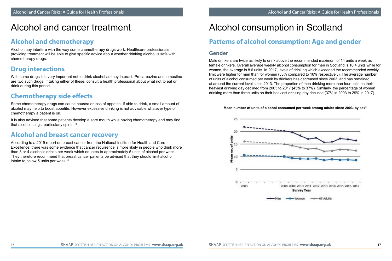# Alcohol and cancer treatment

#### **Alcohol and chemotherapy**

Alcohol may interfere with the way some chemotherapy drugs work. Healthcare professionals providing treatment will be able to give specific advice about whether drinking alcohol is safe with chemotherapy drugs.

## **Drug interactions**

With some drugs it is very important not to drink alcohol as they interact. Procarbazine and lomustine are two such drugs. If taking either of these, consult a health professional about what not to eat or drink during this period.

## **Chemotherapy side effects**

Some chemotherapy drugs can cause nausea or loss of appetite. If able to drink, a small amount of alcohol may help to boost appetite. However excessive drinking is not advisable whatever type of chemotherapy a patient is on.

It is also advised that some patients develop a sore mouth while having chemotherapy and may find that alcohol stings, particularly spirits.14

#### **Alcohol and breast cancer recovery**

According to a 2019 report on breast cancer from the National Institute for Health and Care Excellence, there was some evidence that cancer recurrence is more likely in people who drink more than 3 or 4 alcoholic drinks per week which equates to approximately 5 units of alcohol per week. They therefore recommend that breast cancer patients be advised that they should limit alcohol intake to below 5 units per week.<sup>17</sup>

# Alcohol consumption in Scotland

## **Patterns of alcohol consumption: Age and gender**

#### **Gender**

Male drinkers are twice as likely to drink above the recommended maximum of 14 units a week as female drinkers. Overall average weekly alcohol consumption for men in Scotland is 16.4 units while for women, the average is 8.6 units. In 2017, levels of drinking which exceeded the recommended weekly limit were higher for men than for women (33% compared to 16% respectively). The average number of units of alcohol consumed per week by drinkers has decreased since 2003, and has remained at around the current level since 2013. The proportion of men drinking more than four units on their heaviest drinking day declined from 2003 to 2017 (45% to 37%). Similarly, the percentage of women drinking more than three units on their heaviest drinking day declined (37% in 2003 to 29% in 2017).

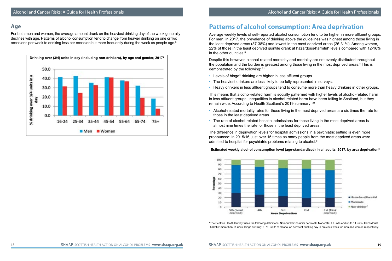#### **Age**

For both men and women, the average amount drunk on the heaviest drinking day of the week generally declines with age. Patterns of alcohol consumption tend to change from heavier drinking on one or two occasions per week to drinking less per occasion but more frequently during the week as people age.<sup>8</sup>



## **Patterns of alcohol consumption: Area deprivation**

Average weekly levels of self-reported alcohol consumption tend to be higher in more affluent groups. For men, in 2017, the prevalence of drinking above the guidelines was highest among those living in the least deprived areas (37-38%) and lowest in the most deprived areas (26-31%). Among women, 22% of those in the least deprived quintile drank at hazardous/harmful\* levels compared with 12-16% in the other quintiles. $8$ 

Despite this however, alcohol-related morbidity and mortality are not evenly distributed throughout the population and the burden is greatest among those living in the most deprived areas. $8$  This is demonstrated by the following: 21

- Levels of binge\* drinking are higher in less affluent groups.
- The heaviest drinkers are less likely to be fully represented in surveys.
- Heavy drinkers in less affluent groups tend to consume more than heavy drinkers in other groups.

This means that alcohol-related harm is socially patterned with higher levels of alcohol-related harm in less affluent groups. Inequalities in alcohol-related harm have been falling in Scotland, but they remain wide. According to Health Scotland's 2019 summary: 21

- Alcohol-related mortality rates for those living in the most deprived areas are six times the rate for those in the least deprived areas.
- The rate of alcohol-related hospital admissions for those living in the most deprived areas is almost nine times the rate for those in the least deprived areas.

The difference in deprivation levels for hospital admissions in a psychiatric setting is even more pronounced: in 2015/16, just over 15 times as many people from the most deprived areas were admitted to hospital for psychiatric problems relating to alcohol.<sup>8</sup>



\*The Scottish Health Survey<sup>s</sup> uses the following definitions: Non-drinker: no units per week; Moderate: >0 units and up to 14 units; Hazardous/ harmful: more than 14 units; Binge drinking: 8+/6+ units of alcohol on heaviest drinking day in previous week for men and women respectively.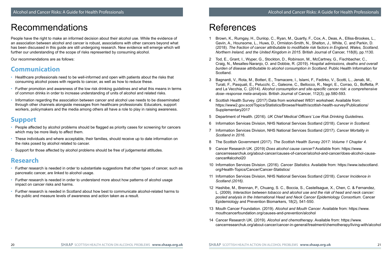# Recommendations

People have the right to make an informed decision about their alcohol use. While the evidence of an association between alcohol and cancer is robust, associations with other cancers beyond what has been discussed in this guide are still undergoing research. New evidence will emerge which will further our understanding of the scope of risks represented by consuming alcohol.

Our recommendations are as follows:

#### **Communication**

- Healthcare professionals need to be well-informed and open with patients about the risks that consuming alcohol poses with regards to cancer, as well as how to reduce these.
- Further promotion and awareness of the low risk drinking guidelines and what this means in terms of common drinks in order to increase understanding of units of alcohol and related risks.
- Information regarding the association between cancer and alcohol use needs to be disseminated through other channels alongside messages from healthcare professionals: Educators, support workers, policymakers and the media among others all have a role to play in raising awareness.

## **Support**

- People affected by alcohol problems should be flagged as priority cases for screening for cancers which may be more likely to affect them.
- These individuals and where acceptable, their families, should receive up to date information on the risks posed by alcohol related to cancer.
- Support for those affected by alcohol problems should be free of judgemental attitudes.

#### **Research**

- Further research is needed in order to substantiate suggestions that other types of cancer, such as pancreatic cancer, are linked to alcohol usage.
- Further research is needed in order to understand more about how patterns of alcohol usage impact on cancer risks and harms.
- Further research is needed in Scotland about how best to communicate alcohol-related harms to the public and measure levels of awareness and action taken as a result.

# References

- 1 Brown, K., Rumgay, H., Dunlop, C., Ryan, M., Quartly, F., Cox, A., Deas, A., Elliss-Brookes, L., Gavin, A., Hounsome, L., Huws, D., Ormiston-Smith, N., Shelton, J., White, C. and Parkin, D. (2018). *The fraction of cancer attributable to modifiable risk factors in England, Wales, Scotland, Northern Ireland, and the United Kingdom in 2015*. British Journal of Cancer, 118(8), pp.1130.
- 2 Tod, E., Grant, I., Wyper, G., Stockton, D., Robinson, M., McCartney, G., Fischbacher, C., Craig, N., Mesalles-Naranjo, O. and Dobbie, R. (2019). *Hospital admissions, deaths and overall burden of disease attributable to alcohol consumption in Scotland*. Public Health Information for Scotland.
- 3 Bagnardi, V., Rota, M., Botteri, E., Tramacere, I., Islami, F., Fedirko, V., Scotti, L., Jenab, M., Turati, F., Pasquali, E., Pelucchi, C., Galeone, C., Bellocco, R., Negri, E., Corrao, G., Boffetta, P. and La Vecchia, C. (2014). *Alcohol consumption and site-specific cancer risk: a comprehensive dose–response meta-analysis*. British Journal of Cancer, 112(3), pp.580-593.
- 4 Scottish Health Survey. (2017) Data from worksheet W831 worksheet. Available from: https://www2.gov.scot/Topics/Statistics/Browse/Health/scottish-health-survey/Publications/ Supplementary2017
- 5 Department of Health. (2016). *UK Chief Medical Officers' Low Risk Drinking Guidelines*.
- 6 Information Services Division, NHS National Services Scotland (2018). *Cancer in Scotland*.
- 7 Information Services Division, NHS National Services Scotland (2017). *Cancer Mortality in Scotland in 2016*.
- 8 The Scottish Government (2017). *The Scottish Health Survey 2017: Volume 1 Chapter 4*.
- 9 Cancer Research UK. (2019) *Does alcohol cause cancer?* Available from: https://www. cancerresearchuk.org/about-cancer/causes-of-cancer/alcohol-and-cancer/does-alcohol-causecancer#alcohol20
- 10 Information Services Division. (2016). *Cancer Statistics*. Available from: https://www.isdscotland. org/Health-Topics/Cancer/Cancer-Statistics/
- 11 Information Services Division, NHS National Services Scotland (2018). *Cancer Incidence in Scotland (2016).*
- 12 Hashibe, M., Brennan, P., Chuang, S. C., Boccia, S., Castellsague, X., Chen, C. & Fernandez, L. (2009). *Interaction between tobacco and alcohol use and the risk of head and neck cancer: pooled analysis in the International Head and Neck Cancer Epidemiology Consortium*. Cancer Epidemiology and Prevention Biomarkers, 18(2), 541-550.
- 13 Mouth Cancer Foundation. (2019). *Alcohol and Mouth Cancer*. Available from: https://www. mouthcancerfoundation.org/causes-and-prevention/alcohol
- 14 Cancer Research UK. (2019). *Alcohol and chemotherapy*. Available from: https://www. cancerresearchuk.org/about-cancer/cancer-in-general/treatment/chemotherapy/living-with/alcohol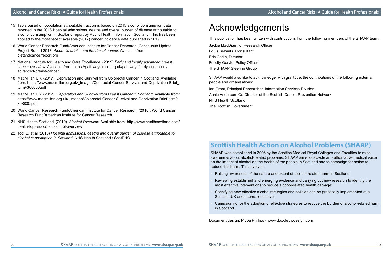#### Alcohol and Cancer Risks: A Guide for Health Professionals

- 15 Table based on population attributable fraction is based on 2015 alcohol consumption data reported in the 2018 Hospital admissions, deaths and overall burden of disease attributable to alcohol consumption in Scotland report by Public Health Information Scotland. This has been applied to the most recent available (2017) cancer incidence data published in 2019.
- 16 World Cancer Research Fund/American Institute for Cancer Research. Continuous Update Project Report 2018. *Alcoholic drinks and the risk of cancer*. Available from: dietandcancerreport.org
- 17 National Institute for Health and Care Excellence. (2019) *Early and locally advanced breast cancer overview*. Available from: https://pathways.nice.org.uk/pathways/early-and-locallyadvanced-breast-cancer.
- 18 MacMillan UK. (2017). Deprivation and Survival from Colorectal Cancer in Scotland. Available from: https://www.macmillan.org.uk/ images/Colorectal-Cancer-Survival-and-Deprivation-Brief tcm9-308830.pdf
- 19 MacMillan UK. (2017). *Deprivation and Survival from Breast Cancer in Scotland*. Available from: https://www.macmillan.org.uk/\_images/Colorectal-Cancer-Survival-and-Deprivation-Brief\_tcm9-308830.pdf
- 20 World Cancer Research Fund/American Institute for Cancer Research. (2018). World Cancer Research Fund/American Institute for Cancer Research.
- 21 NHS Health Scotland. (2019). *Alcohol Overview.* Available from: http://www.healthscotland.scot/ health-topics/alcohol/alcohol-overview
- 22 Tod, E. et al (2018) *Hospital admissions, deaths and overall burden of disease attributable to alcohol consumption in Scotland*. NHS Health Scotland / ScotPHO

# Acknowledgements

This publication has been written with contributions from the following members of the SHAAP team:

Jackie MacDiarmid, Research Officer Louis Bezants, Consultant Eric Carlin, Director Felicity Garvie, Policy Officer The SHAAP Steering Group

SHAAP would also like to acknowledge, with gratitude, the contributions of the following external people and organisations:

Ian Grant, Principal Researcher, Information Services Division Annie Anderson, Co-Director of the Scottish Cancer Prevention Network NHS Health Scotland The Scottish Government

#### **Scottish Health Action on Alcohol Problems (SHAAP)**

SHAAP was established in 2006 by the Scottish Medical Royal Colleges and Faculties to raise awareness about alcohol-related problems. SHAAP aims to provide an authoritative medical voice on the impact of alcohol on the health of the people in Scotland and to campaign for action to reduce this harm. This involves:

• Raising awareness of the nature and extent of alcohol-related harm in Scotland;

- Reviewing established and emerging evidence and carrying out new research to identify the most effective interventions to reduce alcohol-related health damage;
- Specifying how effective alcohol strategies and policies can be practically implemented at a Scottish, UK and international level;
- Campaigning for the adoption of effective strategies to reduce the burden of alcohol-related harm in Scotland.

Document design: Pippa Phillips - www.doodlepipdesign.com